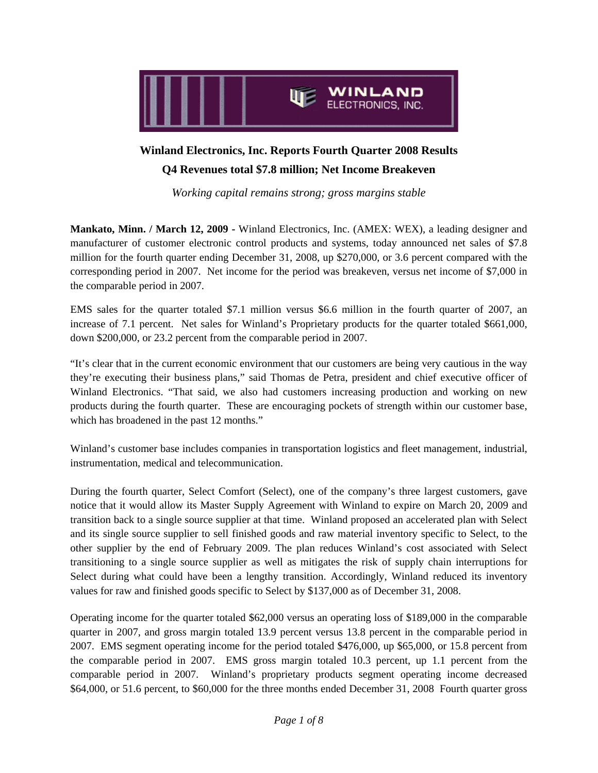

# **Winland Electronics, Inc. Reports Fourth Quarter 2008 Results Q4 Revenues total \$7.8 million; Net Income Breakeven**

*Working capital remains strong; gross margins stable* 

**Mankato, Minn. / March 12, 2009 -** Winland Electronics, Inc. (AMEX: WEX), a leading designer and manufacturer of customer electronic control products and systems, today announced net sales of \$7.8 million for the fourth quarter ending December 31, 2008, up \$270,000, or 3.6 percent compared with the corresponding period in 2007. Net income for the period was breakeven, versus net income of \$7,000 in the comparable period in 2007.

EMS sales for the quarter totaled \$7.1 million versus \$6.6 million in the fourth quarter of 2007, an increase of 7.1 percent. Net sales for Winland's Proprietary products for the quarter totaled \$661,000, down \$200,000, or 23.2 percent from the comparable period in 2007.

"It's clear that in the current economic environment that our customers are being very cautious in the way they're executing their business plans," said Thomas de Petra, president and chief executive officer of Winland Electronics. "That said, we also had customers increasing production and working on new products during the fourth quarter. These are encouraging pockets of strength within our customer base, which has broadened in the past 12 months."

Winland's customer base includes companies in transportation logistics and fleet management, industrial, instrumentation, medical and telecommunication.

During the fourth quarter, Select Comfort (Select), one of the company's three largest customers, gave notice that it would allow its Master Supply Agreement with Winland to expire on March 20, 2009 and transition back to a single source supplier at that time. Winland proposed an accelerated plan with Select and its single source supplier to sell finished goods and raw material inventory specific to Select, to the other supplier by the end of February 2009. The plan reduces Winland's cost associated with Select transitioning to a single source supplier as well as mitigates the risk of supply chain interruptions for Select during what could have been a lengthy transition. Accordingly, Winland reduced its inventory values for raw and finished goods specific to Select by \$137,000 as of December 31, 2008.

Operating income for the quarter totaled \$62,000 versus an operating loss of \$189,000 in the comparable quarter in 2007, and gross margin totaled 13.9 percent versus 13.8 percent in the comparable period in 2007. EMS segment operating income for the period totaled \$476,000, up \$65,000, or 15.8 percent from the comparable period in 2007. EMS gross margin totaled 10.3 percent, up 1.1 percent from the comparable period in 2007. Winland's proprietary products segment operating income decreased \$64,000, or 51.6 percent, to \$60,000 for the three months ended December 31, 2008 Fourth quarter gross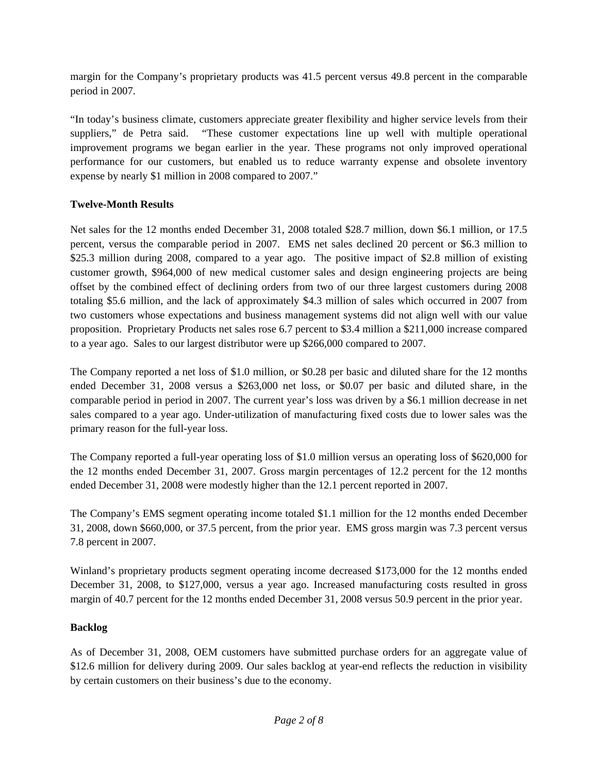margin for the Company's proprietary products was 41.5 percent versus 49.8 percent in the comparable period in 2007.

"In today's business climate, customers appreciate greater flexibility and higher service levels from their suppliers," de Petra said. "These customer expectations line up well with multiple operational improvement programs we began earlier in the year. These programs not only improved operational performance for our customers, but enabled us to reduce warranty expense and obsolete inventory expense by nearly \$1 million in 2008 compared to 2007."

# **Twelve-Month Results**

Net sales for the 12 months ended December 31, 2008 totaled \$28.7 million, down \$6.1 million, or 17.5 percent, versus the comparable period in 2007. EMS net sales declined 20 percent or \$6.3 million to \$25.3 million during 2008, compared to a year ago. The positive impact of \$2.8 million of existing customer growth, \$964,000 of new medical customer sales and design engineering projects are being offset by the combined effect of declining orders from two of our three largest customers during 2008 totaling \$5.6 million, and the lack of approximately \$4.3 million of sales which occurred in 2007 from two customers whose expectations and business management systems did not align well with our value proposition. Proprietary Products net sales rose 6.7 percent to \$3.4 million a \$211,000 increase compared to a year ago. Sales to our largest distributor were up \$266,000 compared to 2007.

The Company reported a net loss of \$1.0 million, or \$0.28 per basic and diluted share for the 12 months ended December 31, 2008 versus a \$263,000 net loss, or \$0.07 per basic and diluted share, in the comparable period in period in 2007. The current year's loss was driven by a \$6.1 million decrease in net sales compared to a year ago. Under-utilization of manufacturing fixed costs due to lower sales was the primary reason for the full-year loss.

The Company reported a full-year operating loss of \$1.0 million versus an operating loss of \$620,000 for the 12 months ended December 31, 2007. Gross margin percentages of 12.2 percent for the 12 months ended December 31, 2008 were modestly higher than the 12.1 percent reported in 2007.

The Company's EMS segment operating income totaled \$1.1 million for the 12 months ended December 31, 2008, down \$660,000, or 37.5 percent, from the prior year. EMS gross margin was 7.3 percent versus 7.8 percent in 2007.

Winland's proprietary products segment operating income decreased \$173,000 for the 12 months ended December 31, 2008, to \$127,000, versus a year ago. Increased manufacturing costs resulted in gross margin of 40.7 percent for the 12 months ended December 31, 2008 versus 50.9 percent in the prior year.

### **Backlog**

As of December 31, 2008, OEM customers have submitted purchase orders for an aggregate value of \$12.6 million for delivery during 2009. Our sales backlog at year-end reflects the reduction in visibility by certain customers on their business's due to the economy.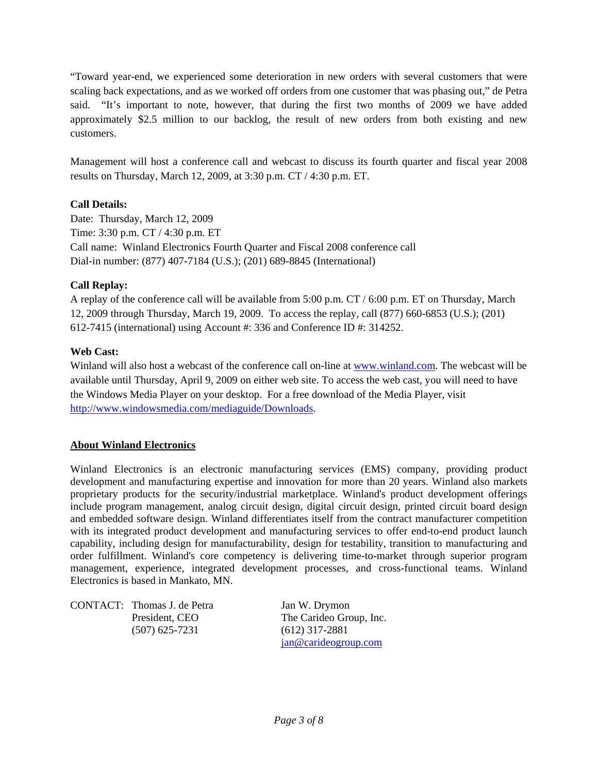"Toward year-end, we experienced some deterioration in new orders with several customers that were scaling back expectations, and as we worked off orders from one customer that was phasing out," de Petra said. "It's important to note, however, that during the first two months of 2009 we have added approximately \$2.5 million to our backlog, the result of new orders from both existing and new customers.

Management will host a conference call and webcast to discuss its fourth quarter and fiscal year 2008 results on Thursday, March 12, 2009, at 3:30 p.m. CT / 4:30 p.m. ET.

# **Call Details:**

Date: Thursday, March 12, 2009 Time: 3:30 p.m. CT / 4:30 p.m. ET Call name: Winland Electronics Fourth Quarter and Fiscal 2008 conference call Dial-in number: (877) 407-7184 (U.S.); (201) 689-8845 (International)

# **Call Replay:**

A replay of the conference call will be available from 5:00 p.m. CT / 6:00 p.m. ET on Thursday, March 12, 2009 through Thursday, March 19, 2009. To access the replay, call (877) 660-6853 (U.S.); (201) 612-7415 (international) using Account #: 336 and Conference ID #: 314252.

### **Web Cast:**

Winland will also host a webcast of the conference call on-line at www.winland.com. The webcast will be available until Thursday, April 9, 2009 on either web site. To access the web cast, you will need to have the Windows Media Player on your desktop. For a free download of the Media Player, visit http://www.windowsmedia.com/mediaguide/Downloads.

### **About Winland Electronics**

Winland Electronics is an electronic manufacturing services (EMS) company, providing product development and manufacturing expertise and innovation for more than 20 years. Winland also markets proprietary products for the security/industrial marketplace. Winland's product development offerings include program management, analog circuit design, digital circuit design, printed circuit board design and embedded software design. Winland differentiates itself from the contract manufacturer competition with its integrated product development and manufacturing services to offer end-to-end product launch capability, including design for manufacturability, design for testability, transition to manufacturing and order fulfillment. Winland's core competency is delivering time-to-market through superior program management, experience, integrated development processes, and cross-functional teams. Winland Electronics is based in Mankato, MN.

CONTACT: Thomas J. de Petra Jan W. Drymon (507) 625-7231 (612) 317-2881

President, CEO The Carideo Group, Inc. jan@carideogroup.com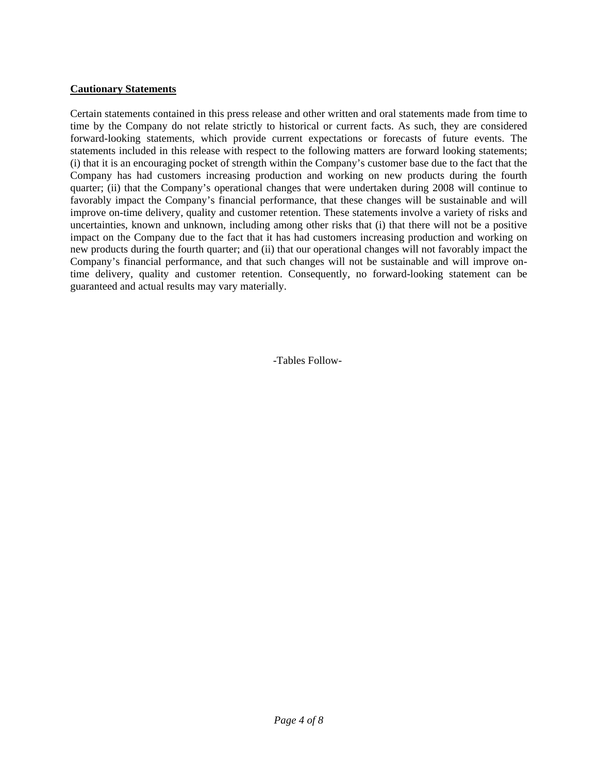#### **Cautionary Statements**

Certain statements contained in this press release and other written and oral statements made from time to time by the Company do not relate strictly to historical or current facts. As such, they are considered forward-looking statements, which provide current expectations or forecasts of future events. The statements included in this release with respect to the following matters are forward looking statements; (i) that it is an encouraging pocket of strength within the Company's customer base due to the fact that the Company has had customers increasing production and working on new products during the fourth quarter; (ii) that the Company's operational changes that were undertaken during 2008 will continue to favorably impact the Company's financial performance, that these changes will be sustainable and will improve on-time delivery, quality and customer retention. These statements involve a variety of risks and uncertainties, known and unknown, including among other risks that (i) that there will not be a positive impact on the Company due to the fact that it has had customers increasing production and working on new products during the fourth quarter; and (ii) that our operational changes will not favorably impact the Company's financial performance, and that such changes will not be sustainable and will improve ontime delivery, quality and customer retention. Consequently, no forward-looking statement can be guaranteed and actual results may vary materially.

-Tables Follow-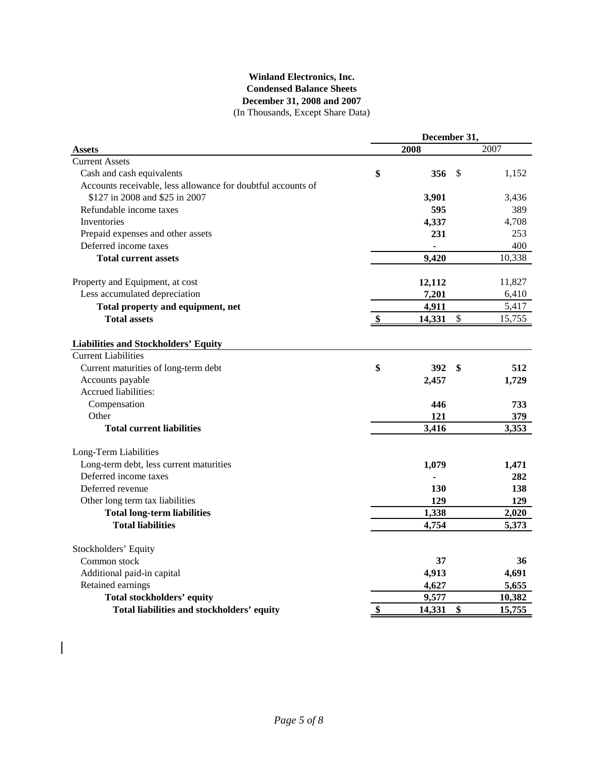#### (In Thousands, Except Share Data) **Winland Electronics, Inc. Condensed Balance Sheets December 31, 2008 and 2007**

|                                                              | December 31, |        |               |        |  |  |  |
|--------------------------------------------------------------|--------------|--------|---------------|--------|--|--|--|
| <b>Assets</b>                                                |              | 2008   |               | 2007   |  |  |  |
| <b>Current Assets</b>                                        |              |        |               |        |  |  |  |
| Cash and cash equivalents                                    | \$           | 356    | S             | 1,152  |  |  |  |
| Accounts receivable, less allowance for doubtful accounts of |              |        |               |        |  |  |  |
| \$127 in 2008 and \$25 in 2007                               |              | 3,901  |               | 3,436  |  |  |  |
| Refundable income taxes                                      |              | 595    |               | 389    |  |  |  |
| Inventories                                                  |              | 4,337  |               | 4,708  |  |  |  |
| Prepaid expenses and other assets                            |              | 231    |               | 253    |  |  |  |
| Deferred income taxes                                        |              |        |               | 400    |  |  |  |
| <b>Total current assets</b>                                  |              | 9,420  |               | 10,338 |  |  |  |
| Property and Equipment, at cost                              |              | 12,112 |               | 11,827 |  |  |  |
| Less accumulated depreciation                                |              | 7,201  |               | 6,410  |  |  |  |
| Total property and equipment, net                            |              | 4,911  |               | 5,417  |  |  |  |
| <b>Total assets</b>                                          |              | 14,331 | $\mathcal{S}$ | 15,755 |  |  |  |
| <b>Liabilities and Stockholders' Equity</b>                  |              |        |               |        |  |  |  |
| <b>Current Liabilities</b>                                   |              |        |               |        |  |  |  |
| Current maturities of long-term debt                         | \$           | 392    | \$            | 512    |  |  |  |
| Accounts payable                                             |              | 2,457  |               | 1,729  |  |  |  |
| Accrued liabilities:                                         |              |        |               |        |  |  |  |
| Compensation                                                 |              | 446    |               | 733    |  |  |  |
| Other                                                        |              | 121    |               | 379    |  |  |  |
| <b>Total current liabilities</b>                             |              | 3,416  |               | 3,353  |  |  |  |
| Long-Term Liabilities                                        |              |        |               |        |  |  |  |
| Long-term debt, less current maturities                      |              | 1,079  |               | 1,471  |  |  |  |
| Deferred income taxes                                        |              |        |               | 282    |  |  |  |
| Deferred revenue                                             |              | 130    |               | 138    |  |  |  |
| Other long term tax liabilities                              |              | 129    |               | 129    |  |  |  |
| <b>Total long-term liabilities</b>                           |              | 1,338  |               | 2,020  |  |  |  |
| <b>Total liabilities</b>                                     |              | 4,754  |               | 5,373  |  |  |  |
| Stockholders' Equity                                         |              |        |               |        |  |  |  |
| Common stock                                                 |              | 37     |               | 36     |  |  |  |
| Additional paid-in capital                                   |              | 4,913  |               | 4,691  |  |  |  |
| Retained earnings                                            |              | 4,627  |               | 5,655  |  |  |  |
| <b>Total stockholders' equity</b>                            |              | 9,577  |               | 10,382 |  |  |  |
| Total liabilities and stockholders' equity                   | \$           | 14,331 | \$            | 15,755 |  |  |  |

 $\begin{array}{c} \hline \end{array}$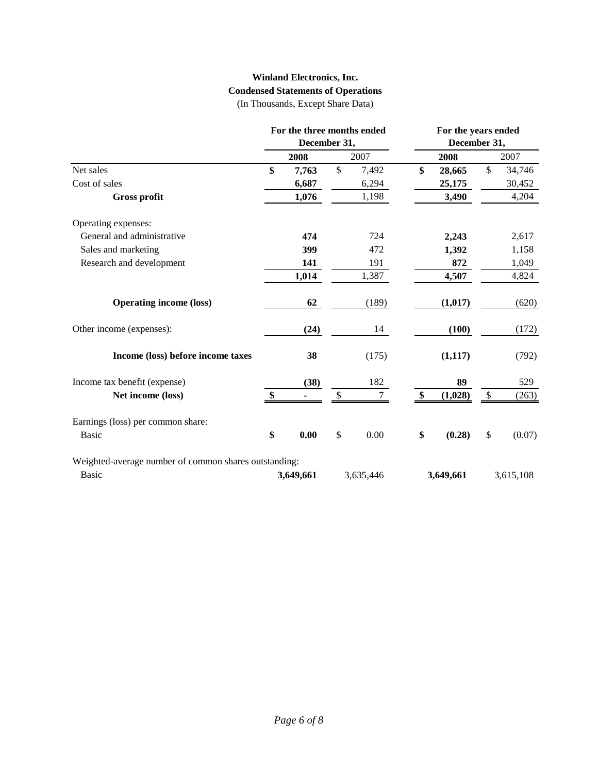# **Winland Electronics, Inc. Condensed Statements of Operations**

(In Thousands, Except Share Data)

|                                                       | For the three months ended |              |    | For the years ended |              |           |    |           |  |
|-------------------------------------------------------|----------------------------|--------------|----|---------------------|--------------|-----------|----|-----------|--|
|                                                       |                            | December 31, |    |                     | December 31, |           |    |           |  |
|                                                       |                            | 2008         |    | 2007                |              | 2008      |    | 2007      |  |
| Net sales                                             | \$                         | 7,763        | \$ | 7,492               | \$           | 28,665    | \$ | 34,746    |  |
| Cost of sales                                         |                            | 6,687        |    | 6,294               |              | 25,175    |    | 30,452    |  |
| <b>Gross profit</b>                                   |                            | 1,076        |    | 1,198               |              | 3,490     |    | 4,204     |  |
| Operating expenses:                                   |                            |              |    |                     |              |           |    |           |  |
| General and administrative                            |                            | 474          |    | 724                 |              | 2,243     |    | 2,617     |  |
| Sales and marketing                                   |                            | 399          |    | 472                 |              | 1,392     |    | 1,158     |  |
| Research and development                              |                            | 141          |    | 191                 |              | 872       |    | 1,049     |  |
|                                                       |                            | 1,014        |    | 1,387               |              | 4,507     |    | 4,824     |  |
| <b>Operating income (loss)</b>                        |                            | 62           |    | (189)               |              | (1,017)   |    | (620)     |  |
| Other income (expenses):                              |                            | (24)         |    | 14                  |              | (100)     |    | (172)     |  |
| Income (loss) before income taxes                     |                            | 38           |    | (175)               |              | (1,117)   |    | (792)     |  |
| Income tax benefit (expense)                          |                            | (38)         |    | 182                 |              | 89        |    | 529       |  |
| Net income (loss)                                     | \$                         |              | \$ | $\tau$              | \$           | (1,028)   | \$ | (263)     |  |
| Earnings (loss) per common share:                     |                            |              |    |                     |              |           |    |           |  |
| <b>Basic</b>                                          | \$                         | 0.00         | \$ | 0.00                | \$           | (0.28)    | \$ | (0.07)    |  |
| Weighted-average number of common shares outstanding: |                            |              |    |                     |              |           |    |           |  |
| <b>Basic</b>                                          |                            | 3,649,661    |    | 3,635,446           |              | 3,649,661 |    | 3,615,108 |  |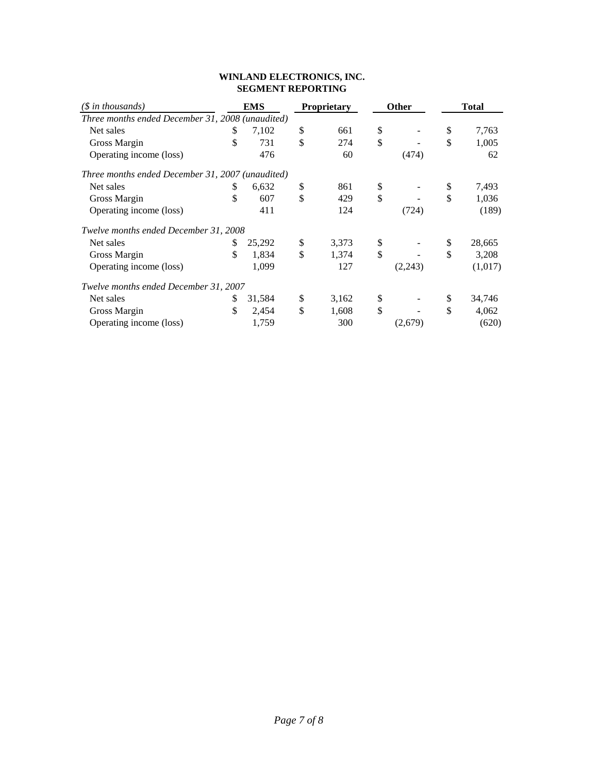#### **WINLAND ELECTRONICS, INC. SEGMENT REPORTING**

| $(S \in \mathbb{R})$ in thousands)               | <b>EMS</b>   | <b>Proprietary</b> | Other         |         | <b>Total</b> |         |  |
|--------------------------------------------------|--------------|--------------------|---------------|---------|--------------|---------|--|
| Three months ended December 31, 2008 (unaudited) |              |                    |               |         |              |         |  |
| Net sales                                        | \$<br>7,102  | \$<br>661          | \$            |         | \$           | 7,763   |  |
| Gross Margin                                     | \$<br>731    | \$<br>274          | \$            |         | \$           | 1,005   |  |
| Operating income (loss)                          | 476          | 60                 |               | (474)   |              | 62      |  |
| Three months ended December 31, 2007 (unaudited) |              |                    |               |         |              |         |  |
| Net sales                                        | \$<br>6,632  | \$<br>861          | \$            |         | \$           | 7,493   |  |
| Gross Margin                                     | \$<br>607    | \$<br>429          | \$            |         | \$           | 1,036   |  |
| Operating income (loss)                          | 411          | 124                |               | (724)   |              | (189)   |  |
| Twelve months ended December 31, 2008            |              |                    |               |         |              |         |  |
| Net sales                                        | \$<br>25,292 | \$<br>3,373        | \$            |         | \$           | 28,665  |  |
| Gross Margin                                     | \$<br>1,834  | \$<br>1,374        | $\mathcal{S}$ |         | \$           | 3,208   |  |
| Operating income (loss)                          | 1,099        | 127                |               | (2,243) |              | (1,017) |  |
| Twelve months ended December 31, 2007            |              |                    |               |         |              |         |  |
| Net sales                                        | \$<br>31,584 | \$<br>3,162        | \$            |         | \$           | 34,746  |  |
| Gross Margin                                     | \$<br>2,454  | \$<br>1,608        | $\mathcal{S}$ |         | \$           | 4,062   |  |
| Operating income (loss)                          | 1,759        | 300                |               | (2,679) |              | (620)   |  |